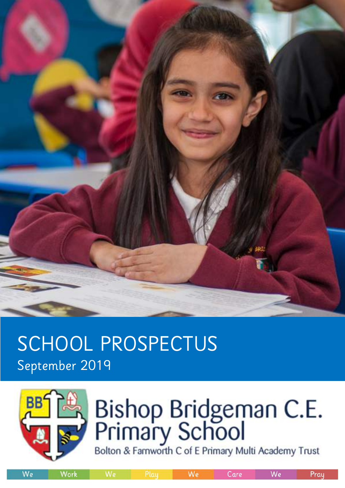

# SCHOOL PROSPECTUS September 2019



# Bishop Bridgeman C.E.<br>Primary School<br>Bolton & Famworth C of E Primary Multi Academy Trust

We

We

Work

We

Care

Prau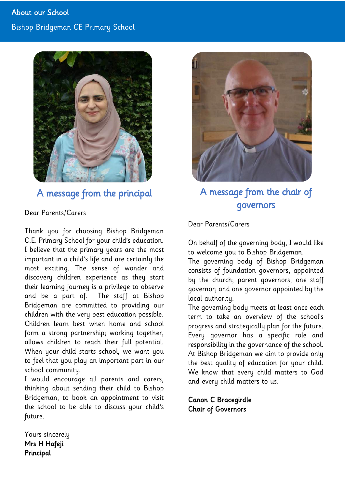

# A message from the principal

### Dear Parents/Carers

Thank you for choosing Bishop Bridgeman C.E. Primary School for your child's education. I believe that the primary years are the most important in a child's life and are certainly the most exciting. The sense of wonder and discovery children experience as they start their learning journey is a privilege to observe and be a part of. The staff at Bishop Bridgeman are committed to providing our children with the very best education possible. Children learn best when home and school form a strong partnership; working together, allows children to reach their full potential. When your child starts school, we want you to feel that you play an important part in our school community.

I would encourage all parents and carers, thinking about sending their child to Bishop Bridgeman, to book an appointment to visit the school to be able to discuss your child's future.



A message from the chair of governors

Dear Parents/Carers

On behalf of the governing body, I would like to welcome you to Bishop Bridgeman.

The governing body of Bishop Bridgeman consists of foundation governors, appointed by the church; parent governors; one staff governor; and one governor appointed by the local authority.

The governing body meets at least once each term to take an overview of the school's progress and strategically plan for the future. Every governor has a specific role and responsibility in the governance of the school. At Bishop Bridgeman we aim to provide only the best quality of education for your child. We know that every child matters to God and every child matters to us.

Canon C Bracegirdle Chair of Governors

Yours sincerely Mrs H Hafeji Principal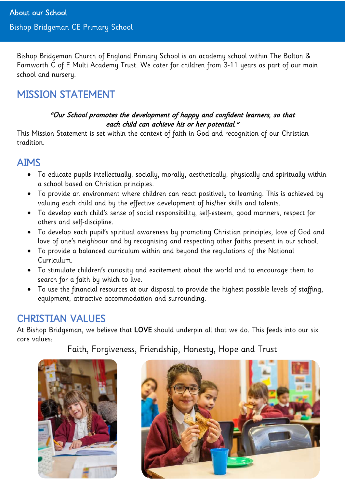Bishop Bridgeman Church of England Primary School is an academy school within The Bolton & Farnworth C of E Multi Academy Trust. We cater for children from 3-11 years as part of our main school and nursery.

# MISSION STATEMENT

### "Our School promotes the development of happy and confident learners, so that each child can achieve his or her potential."

This Mission Statement is set within the context of faith in God and recognition of our Christian tradition.

# AIMS

- To educate pupils intellectually, socially, morally, aesthetically, physically and spiritually within a school based on Christian principles.
- To provide an environment where children can react positively to learning. This is achieved by valuing each child and by the effective development of his/her skills and talents.
- To develop each child's sense of social responsibility, self-esteem, good manners, respect for others and self-discipline.
- To develop each pupil's spiritual awareness by promoting Christian principles, love of God and love of one's neighbour and by recognising and respecting other faiths present in our school.
- To provide a balanced curriculum within and beyond the regulations of the National Curriculum.
- To stimulate children's curiosity and excitement about the world and to encourage them to search for a faith by which to live.
- To use the financial resources at our disposal to provide the highest possible levels of staffing, equipment, attractive accommodation and surrounding.

# CHRISTIAN VALUES

At Bishop Bridgeman, we believe that LOVE should underpin all that we do. This feeds into our six core values:

Faith, Forgiveness, Friendship, Honesty, Hope and Trust



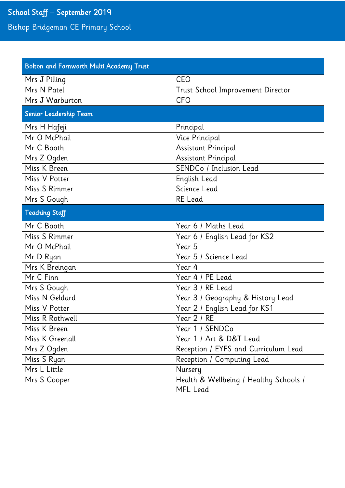# School Staff – September 2019

Bishop Bridgeman CE Primary School

| <b>Bolton and Farnworth Multi Academy Trust</b> |                                        |
|-------------------------------------------------|----------------------------------------|
| Mrs J Pilling                                   | CEO                                    |
| Mrs N Patel                                     | Trust School Improvement Director      |
| Mrs J Warburton                                 | <b>CFO</b>                             |
| Senior Leadership Team                          |                                        |
| Mrs H Hafeji                                    | Principal                              |
| Mr O McPhail                                    | Vice Principal                         |
| Mr C Booth                                      | Assistant Principal                    |
| Mrs Z Ogden                                     | Assistant Principal                    |
| Miss K Breen                                    | SENDCo / Inclusion Lead                |
| Miss V Potter                                   | English Lead                           |
| Miss S Rimmer                                   | Science Lead                           |
| Mrs S Gough                                     | <b>RE</b> Lead                         |
| <b>Teaching Staff</b>                           |                                        |
| Mr C Booth                                      | Year 6 / Maths Lead                    |
| Miss S Rimmer                                   | Year 6 / English Lead for KS2          |
| Mr O McPhail                                    | Year 5                                 |
| Mr D Ryan                                       | Year 5 / Science Lead                  |
| Mrs K Breingan                                  | Year 4                                 |
| Mr C Finn                                       | Year 4 / PE Lead                       |
| Mrs S Gough                                     | Year 3 / RE Lead                       |
| Miss N Geldard                                  | Year 3 / Geography & History Lead      |
| Miss V Potter                                   | Year 2 / English Lead for KS1          |
| Miss R Rothwell                                 | Year 2 / RE                            |
| Miss K Breen                                    | Year 1 / SENDCo                        |
| Miss K Greenall                                 | Year 1 / Art & D&T Lead                |
| Mrs Z Ogden                                     | Reception / EYFS and Curriculum Lead   |
| Miss S Ryan                                     | Reception / Computing Lead             |
| Mrs L Little                                    | Nursery                                |
| Mrs S Cooper                                    | Health & Wellbeing / Healthy Schools / |
|                                                 | MFL Lead                               |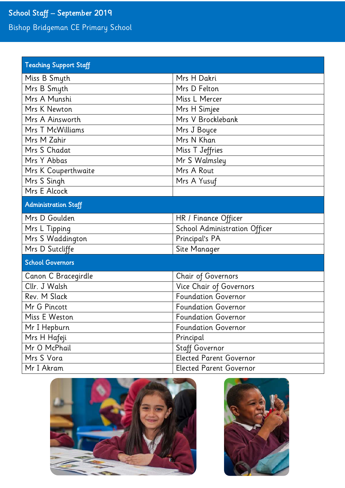# School Staff – September 2019

Bishop Bridgeman CE Primary School

| <b>Teaching Support Staff</b> |                                |
|-------------------------------|--------------------------------|
| Miss B Smyth                  | Mrs H Dakri                    |
| Mrs B Smyth                   | Mrs D Felton                   |
| Mrs A Munshi                  | Miss L Mercer                  |
| Mrs K Newton                  | Mrs H Simjee                   |
| Mrs A Ainsworth               | Mrs V Brocklebank              |
| Mrs T McWilliams              | Mrs J Boyce                    |
| Mrs M Zahir                   | Mrs N Khan                     |
| Mrs S Chadat                  | Miss T Jeffries                |
| Mrs Y Abbas                   | Mr S Walmsley                  |
| Mrs K Couperthwaite           | Mrs A Rout                     |
| Mrs S Singh                   | Mrs A Yusuf                    |
| Mrs E Alcock                  |                                |
| <b>Administration Staff</b>   |                                |
| Mrs D Goulden                 | HR / Finance Officer           |
| Mrs L Tipping                 | School Administration Officer  |
| Mrs S Waddington              | Principal's PA                 |
| Mrs D Sutcliffe               | Site Manager                   |
| <b>School Governors</b>       |                                |
| Canon C Bracegirdle           | Chair of Governors             |
| Cllr. J Walsh                 | Vice Chair of Governors        |
| Rev. M Slack                  | <b>Foundation Governor</b>     |
| Mr G Pincott                  | <b>Foundation Governor</b>     |
| Miss E Weston                 | <b>Foundation Governor</b>     |
| Mr I Hepburn                  | <b>Foundation Governor</b>     |
| Mrs H Hafeji                  | Principal                      |
| Mr O McPhail                  | <b>Staff Governor</b>          |
| Mrs S Vora                    | <b>Elected Parent Governor</b> |
| Mr I Akram                    | <b>Elected Parent Governor</b> |



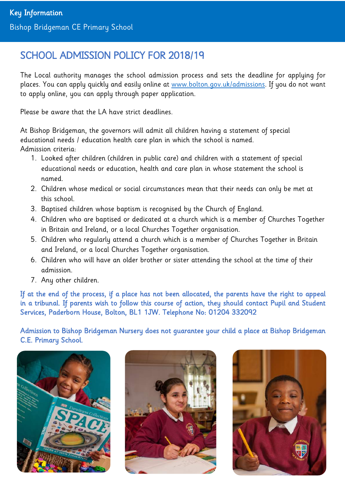# SCHOOL ADMISSION POLICY FOR 2018/19

The Local authority manages the school admission process and sets the deadline for applying for places. You can apply quickly and easily online at www.bolton.gov.uk/admissions. If you do not want to apply online, you can apply through paper application.

Please be aware that the LA have strict deadlines.

At Bishop Bridgeman, the governors will admit all children having a statement of special educational needs / education health care plan in which the school is named. Admission criteria:

- 1. Looked after children (children in public care) and children with a statement of special educational needs or education, health and care plan in whose statement the school is named.
- 2. Children whose medical or social circumstances mean that their needs can only be met at this school.
- 3. Baptised children whose baptism is recognised by the Church of England.
- 4. Children who are baptised or dedicated at a church which is a member of Churches Together in Britain and Ireland, or a local Churches Together organisation.
- 5. Children who regularly attend a church which is a member of Churches Together in Britain and Ireland, or a local Churches Together organisation.
- 6. Children who will have an older brother or sister attending the school at the time of their admission.
- 7. Any other children.

If at the end of the process, if a place has not been allocated, the parents have the right to appeal in a tribunal. If parents wish to follow this course of action, they should contact Pupil and Student Services, Paderborn House, Bolton, BL1 1JW. Telephone No: 01204 332092

Admission to Bishop Bridgeman Nursery does not guarantee your child a place at Bishop Bridgeman C.E. Primary School.





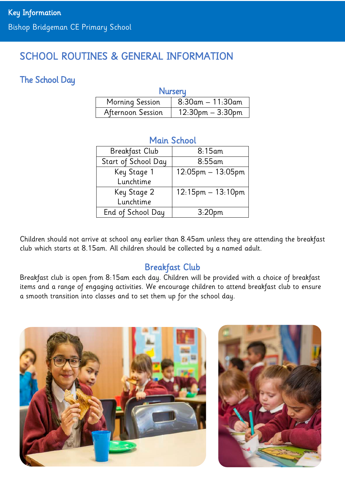# SCHOOL ROUTINES & GENERAL INFORMATION

# The School Day

### **Nurseru**

| Morning Session   | $8:30$ am $-11:30$ am |
|-------------------|-----------------------|
| Afternoon Session | $12:30$ pm $-3:30$ pm |

# Main School

| <b>Breakfast Club</b> | 8:15am                 |
|-----------------------|------------------------|
| Start of School Day   | $8:55$ am              |
| Key Stage 1           | $12:05$ pm $-13:05$ pm |
| Lunchtime             |                        |
| Key Stage 2           | $12:15pm - 13:10pm$    |
| Lunchtime             |                        |
| End of School Day     | 3:20 <sub>pm</sub>     |

Children should not arrive at school any earlier than 8.45am unless they are attending the breakfast club which starts at 8.15am. All children should be collected by a named adult.

# Breakfast Club

Breakfast club is open from 8:15am each day. Children will be provided with a choice of breakfast items and a range of engaging activities. We encourage children to attend breakfast club to ensure a smooth transition into classes and to set them up for the school day.

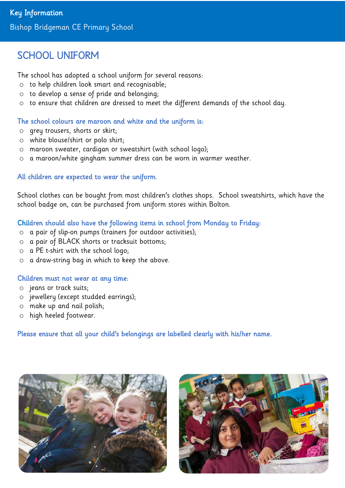# SCHOOL UNIFORM

The school has adopted a school uniform for several reasons:

- o to help children look smart and recognisable;
- o to develop a sense of pride and belonging;
- o to ensure that children are dressed to meet the different demands of the school day.

### The school colours are maroon and white and the uniform is:

- o grey trousers, shorts or skirt;
- o white blouse/shirt or polo shirt;
- o maroon sweater, cardigan or sweatshirt (with school logo);
- o a maroon/white gingham summer dress can be worn in warmer weather.

### All children are expected to wear the uniform.

School clothes can be bought from most children's clothes shops. School sweatshirts, which have the school badge on, can be purchased from uniform stores within Bolton.

### Children should also have the following items in school from Monday to Friday:

- o a pair of slip-on pumps (trainers for outdoor activities);
- o a pair of BLACK shorts or tracksuit bottoms;
- o a PE t-shirt with the school logo;
- o a draw-string bag in which to keep the above.

### Children must not wear at any time:

- o jeans or track suits;
- o jewellery (except studded earrings);
- o make up and nail polish;
- o high heeled footwear.

Please ensure that all your child's belongings are labelled clearly with his/her name.



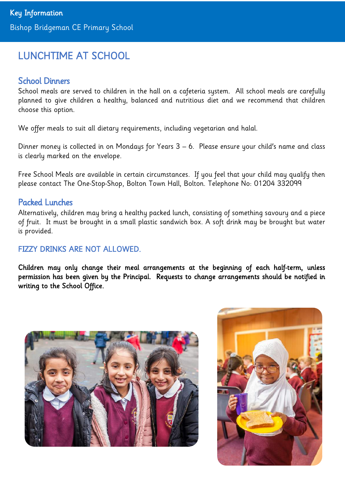# LUNCHTIME AT SCHOOL

### School Dinners

School meals are served to children in the hall on a cafeteria system. All school meals are carefully planned to give children a healthy, balanced and nutritious diet and we recommend that children choose this option.

We offer meals to suit all dietary requirements, including vegetarian and halal.

Dinner money is collected in on Mondays for Years 3 – 6. Please ensure your child's name and class is clearly marked on the envelope.

Free School Meals are available in certain circumstances. If you feel that your child may qualify then please contact The One-Stop-Shop, Bolton Town Hall, Bolton. Telephone No: 01204 332099

### Packed Lunches

Alternatively, children may bring a healthy packed lunch, consisting of something savoury and a piece of fruit. It must be brought in a small plastic sandwich box. A soft drink may be brought but water is provided.

### FIZZY DRINKS ARE NOT ALLOWED.

Children may only change their meal arrangements at the beginning of each half-term, unless permission has been given by the Principal. Requests to change arrangements should be notified in writing to the School Office.



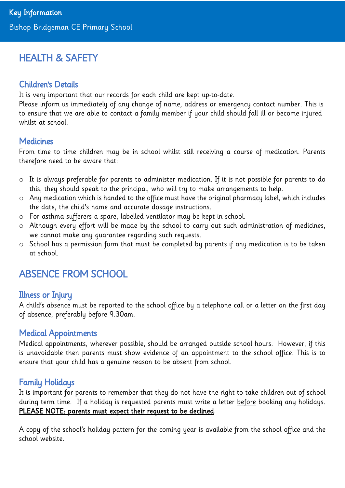# HEALTH & SAFETY

# Children's Details

It is very important that our records for each child are kept up-to-date.

Please inform us immediately of any change of name, address or emergency contact number. This is to ensure that we are able to contact a family member if your child should fall ill or become injured whilst at school.

### **Medicines**

From time to time children may be in school whilst still receiving a course of medication. Parents therefore need to be aware that:

- o It is always preferable for parents to administer medication. If it is not possible for parents to do this, they should speak to the principal, who will try to make arrangements to help.
- o Any medication which is handed to the office must have the original pharmacy label, which includes the date, the child's name and accurate dosage instructions.
- o For asthma sufferers a spare, labelled ventilator may be kept in school.
- o Although every effort will be made by the school to carry out such administration of medicines, we cannot make any guarantee regarding such requests.
- o School has a permission form that must be completed by parents if any medication is to be taken at school.

# ABSENCE FROM SCHOOL

# Illness or Injury

A child's absence must be reported to the school office by a telephone call or a letter on the first day of absence, preferably before 9.30am.

### Medical Appointments

Medical appointments, wherever possible, should be arranged outside school hours. However, if this is unavoidable then parents must show evidence of an appointment to the school office. This is to ensure that your child has a genuine reason to be absent from school.

# Family Holidays

It is important for parents to remember that they do not have the right to take children out of school during term time. If a holiday is requested parents must write a letter before booking any holidays. PLEASE NOTE: parents must expect their request to be declined.

A copy of the school's holiday pattern for the coming year is available from the school office and the school website.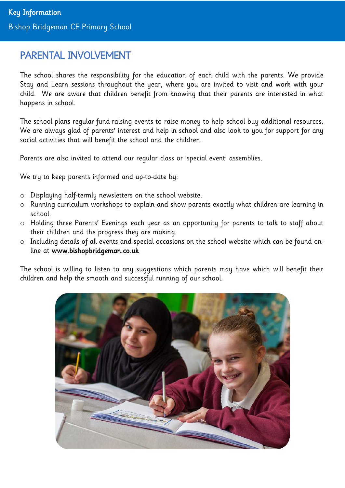# PARENTAL INVOLVEMENT

The school shares the responsibility for the education of each child with the parents. We provide Stay and Learn sessions throughout the year, where you are invited to visit and work with your child. We are aware that children benefit from knowing that their parents are interested in what happens in school.

The school plans regular fund-raising events to raise money to help school buy additional resources. We are always glad of parents' interest and help in school and also look to you for support for any social activities that will benefit the school and the children.

Parents are also invited to attend our regular class or 'special event' assemblies.

We try to keep parents informed and up-to-date by:

- o Displaying half-termly newsletters on the school website.
- o Running curriculum workshops to explain and show parents exactly what children are learning in school.
- o Holding three Parents' Evenings each year as an opportunity for parents to talk to staff about their children and the progress they are making.
- o Including details of all events and special occasions on the school website which can be found online at www.bishopbridgeman.co.uk

The school is willing to listen to any suggestions which parents may have which will benefit their children and help the smooth and successful running of our school.

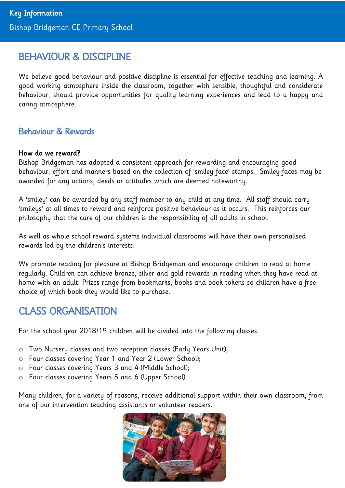# BEHAVIOUR & DISCIPLINE

We believe good behaviour and positive discipline is essential for effective teaching and learning. A good working atmosphere inside the classroom, together with sensible, thoughtful and considerate behaviour, should provide opportunities for quality learning experiences and lead to a happy and caring atmosphere.

### Behaviour & Rewards

### How do we reward?

Bishop Bridgeman has adopted a consistent approach for rewarding and encouraging good behaviour, effort and manners based on the collection of 'smiley face' stamps. Smiley faces may be awarded for any actions, deeds or attitudes which are deemed noteworthy.

A 'smiley' can be awarded by any staff member to any child at any time. All staff should carry 'smileys' at all times to reward and reinforce positive behaviour as it occurs. This reinforces our philosophy that the care of our children is the responsibility of all adults in school.

As well as whole school reward systems individual classrooms will have their own personalised rewards led by the children's interests.

We promote reading for pleasure at Bishop Bridgeman and encourage children to read at home regularly. Children can achieve bronze, silver and gold rewards in reading when they have read at home with an adult. Prizes range from bookmarks, books and book tokens so children have a free choice of which book they would like to purchase.

# CLASS ORGANISATION

For the school year 2018/19 children will be divided into the following classes:

- o Two Nursery classes and two reception classes (Early Years Unit);
- o Four classes covering Year 1 and Year 2 (Lower School);
- o Four classes covering Years 3 and 4 (Middle School);
- o Four classes covering Years 5 and 6 (Upper School).

Many children, for a variety of reasons, receive additional support within their own classroom, from one of our intervention teaching assistants or volunteer readers.

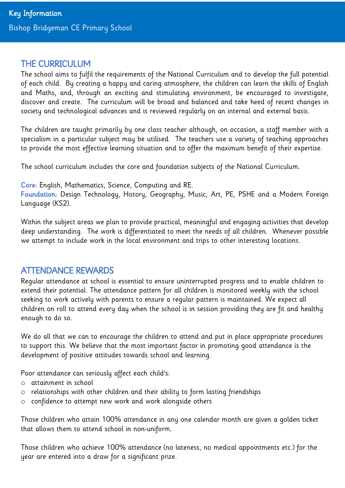# THE CURRICULUM

The school aims to fulfil the requirements of the National Curriculum and to develop the full potential of each child. By creating a happy and caring atmosphere, the children can learn the skills of English and Maths, and, through an exciting and stimulating environment, be encouraged to investigate, discover and create. The curriculum will be broad and balanced and take heed of recent changes in society and technological advances and is reviewed regularly on an internal and external basis.

The children are taught primarily by one class teacher although, on occasion, a staff member with a specialism in a particular subject may be utilised. The teachers use a variety of teaching approaches to provide the most effective learning situation and to offer the maximum benefit of their expertise.

The school curriculum includes the core and foundation subjects of the National Curriculum.

Core: English, Mathematics, Science, Computing and RE.

Foundation: Design Technology, History, Geography, Music, Art, PE, PSHE and a Modern Foreign Language (KS2).

Within the subject areas we plan to provide practical, meaningful and engaging activities that develop deep understanding. The work is differentiated to meet the needs of all children. Whenever possible we attempt to include work in the local environment and trips to other interesting locations.

# ATTENDANCE REWARDS

Regular attendance at school is essential to ensure uninterrupted progress and to enable children to extend their potential. The attendance pattern for all children is monitored weekly with the school seeking to work actively with parents to ensure a regular pattern is maintained. We expect all children on roll to attend every day when the school is in session providing they are fit and healthy enough to do so.

We do all that we can to encourage the children to attend and put in place appropriate procedures to support this. We believe that the most important factor in promoting good attendance is the development of positive attitudes towards school and learning.

Poor attendance can seriously affect each child's:

- o attainment in school
- o relationships with other children and their ability to form lasting friendships
- o confidence to attempt new work and work alongside others

Those children who attain 100% attendance in any one calendar month are given a golden ticket that allows them to attend school in non-uniform.

Those children who achieve 100% attendance (no lateness, no medical appointments etc.) for the year are entered into a draw for a significant prize.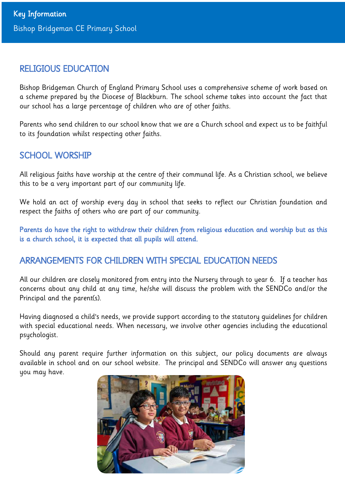### RELIGIOUS EDUCATION

Bishop Bridgeman Church of England Primary School uses a comprehensive scheme of work based on a scheme prepared by the Diocese of Blackburn. The school scheme takes into account the fact that our school has a large percentage of children who are of other faiths.

Parents who send children to our school know that we are a Church school and expect us to be faithful to its foundation whilst respecting other faiths.

# SCHOOL WORSHIP

All religious faiths have worship at the centre of their communal life. As a Christian school, we believe this to be a very important part of our community life.

We hold an act of worship every day in school that seeks to reflect our Christian foundation and respect the faiths of others who are part of our community.

Parents do have the right to withdraw their children from religious education and worship but as this is a church school, it is expected that all pupils will attend.

# ARRANGEMENTS FOR CHILDREN WITH SPECIAL EDUCATION NEEDS

All our children are closely monitored from entry into the Nursery through to year 6. If a teacher has concerns about any child at any time, he/she will discuss the problem with the SENDCo and/or the Principal and the parent(s).

Having diagnosed a child's needs, we provide support according to the statutory guidelines for children with special educational needs. When necessary, we involve other agencies including the educational psychologist.

Should any parent require further information on this subject, our policy documents are always available in school and on our school website. The principal and SENDCo will answer any questions you may have.

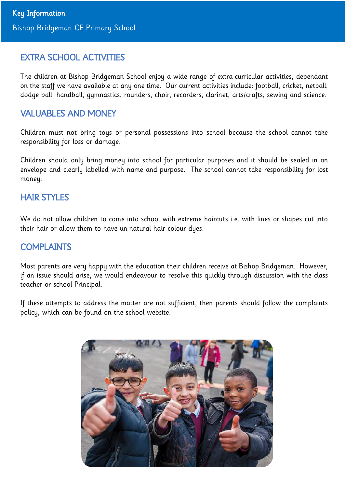# EXTRA SCHOOL ACTIVITIES

The children at Bishop Bridgeman School enjoy a wide range of extra-curricular activities, dependant on the staff we have available at any one time. Our current activities include: football, cricket, netball, dodge ball, handball, gymnastics, rounders, choir, recorders, clarinet, arts/crafts, sewing and science.

## VALUABLES AND MONEY

Children must not bring toys or personal possessions into school because the school cannot take responsibility for loss or damage.

Children should only bring money into school for particular purposes and it should be sealed in an envelope and clearly labelled with name and purpose. The school cannot take responsibility for lost money.

### HAIR STYLES

We do not allow children to come into school with extreme haircuts i.e. with lines or shapes cut into their hair or allow them to have un-natural hair colour dyes.

# **COMPLAINTS**

Most parents are very happy with the education their children receive at Bishop Bridgeman. However, if an issue should arise, we would endeavour to resolve this quickly through discussion with the class teacher or school Principal.

If these attempts to address the matter are not sufficient, then parents should follow the complaints policy, which can be found on the school website.